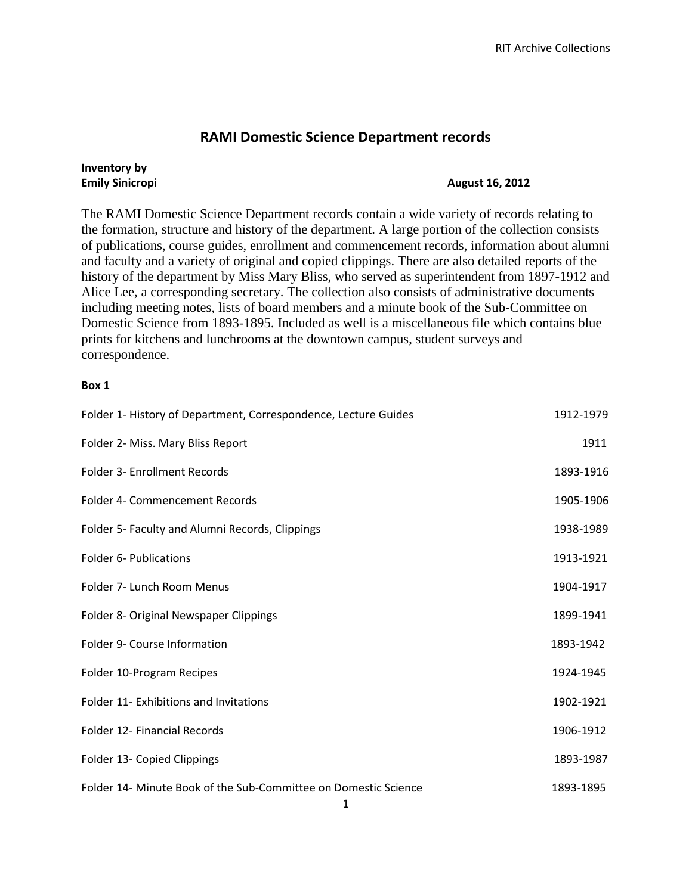## **RAMI Domestic Science Department records**

## **Inventory by**

## **Emily Sinicropi August 16, 2012**

The RAMI Domestic Science Department records contain a wide variety of records relating to the formation, structure and history of the department. A large portion of the collection consists of publications, course guides, enrollment and commencement records, information about alumni and faculty and a variety of original and copied clippings. There are also detailed reports of the history of the department by Miss Mary Bliss, who served as superintendent from 1897-1912 and Alice Lee, a corresponding secretary. The collection also consists of administrative documents including meeting notes, lists of board members and a minute book of the Sub-Committee on Domestic Science from 1893-1895. Included as well is a miscellaneous file which contains blue prints for kitchens and lunchrooms at the downtown campus, student surveys and correspondence.

## **Box 1**

| Folder 1- History of Department, Correspondence, Lecture Guides | 1912-1979 |
|-----------------------------------------------------------------|-----------|
| Folder 2- Miss. Mary Bliss Report                               | 1911      |
| Folder 3- Enrollment Records                                    | 1893-1916 |
| Folder 4- Commencement Records                                  | 1905-1906 |
| Folder 5- Faculty and Alumni Records, Clippings                 | 1938-1989 |
| <b>Folder 6- Publications</b>                                   | 1913-1921 |
| Folder 7- Lunch Room Menus                                      | 1904-1917 |
| Folder 8- Original Newspaper Clippings                          | 1899-1941 |
| Folder 9- Course Information                                    | 1893-1942 |
| Folder 10-Program Recipes                                       | 1924-1945 |
| Folder 11- Exhibitions and Invitations                          | 1902-1921 |
| Folder 12- Financial Records                                    | 1906-1912 |
| Folder 13- Copied Clippings                                     | 1893-1987 |
| Folder 14- Minute Book of the Sub-Committee on Domestic Science | 1893-1895 |